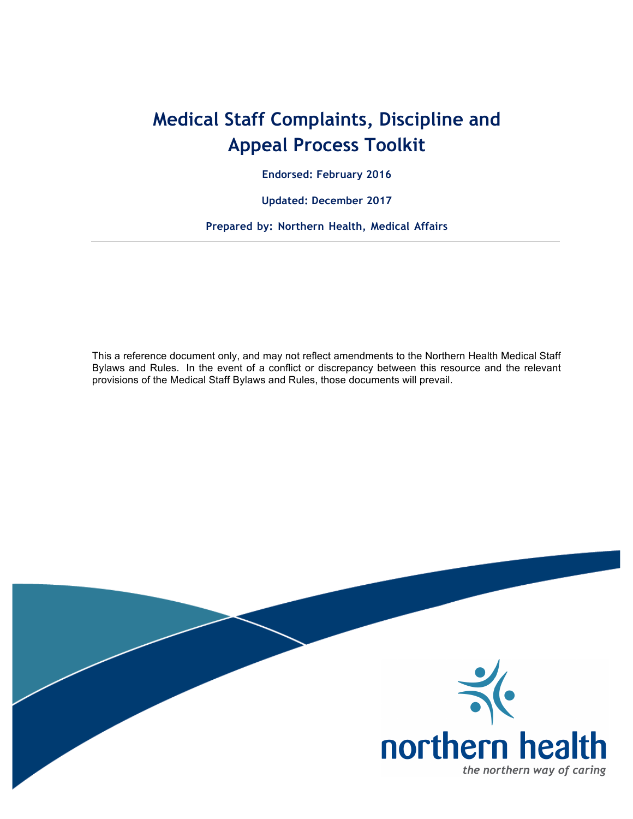## **Medical Staff Complaints, Discipline and Appeal Process Toolkit**

**Endorsed: February 2016**

**Updated: December 2017** 

**Prepared by: Northern Health, Medical Affairs**

This a reference document only, and may not reflect amendments to the Northern Health Medical Staff Bylaws and Rules. In the event of a conflict or discrepancy between this resource and the relevant provisions of the Medical Staff Bylaws and Rules, those documents will prevail.

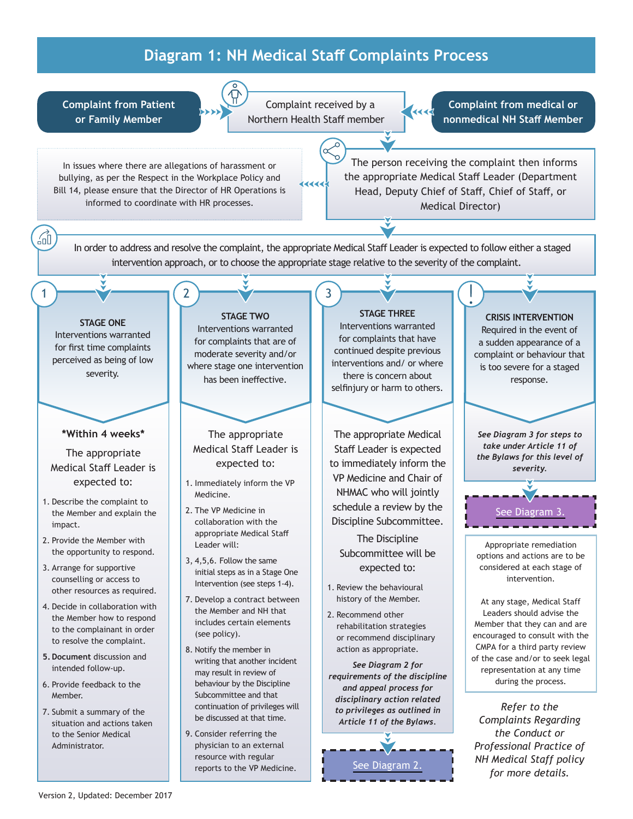## **Diagram 1: NH Medical Staff Complaints Process**

<span id="page-1-0"></span>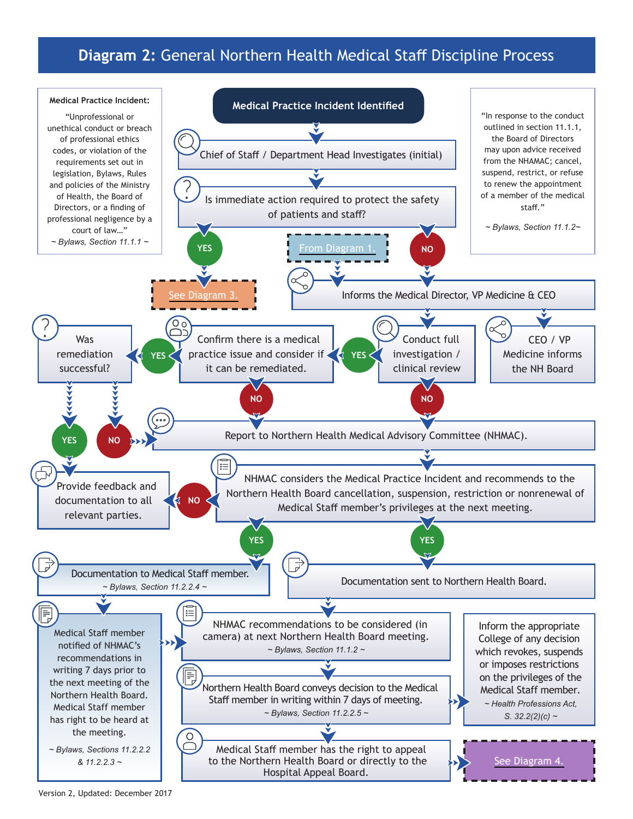## **Diagram 2:** General Northern Health Medical Staff Discipline Process

<span id="page-2-0"></span>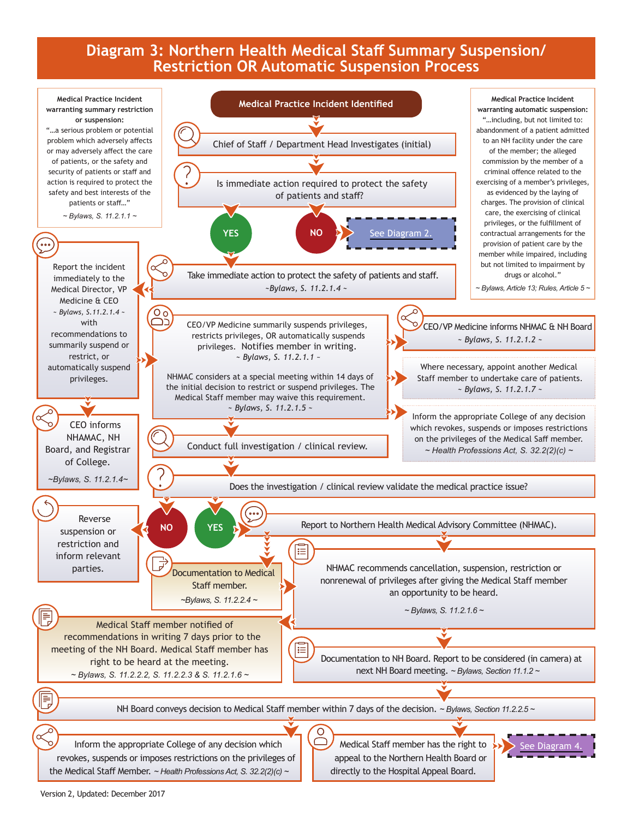## **Diagram 3: Northern Health Medical Staff Summary Suspension/ Restriction OR Automatic Suspension Process**

<span id="page-3-0"></span>